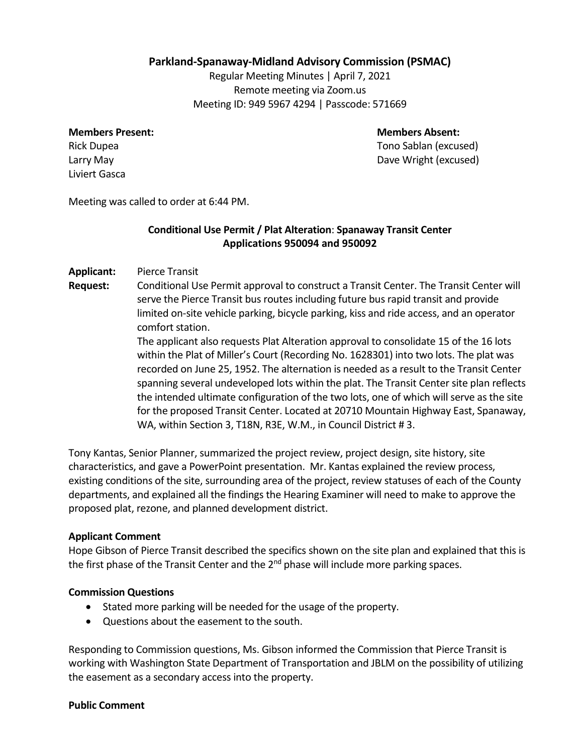# **Parkland-Spanaway-Midland Advisory Commission (PSMAC)**

Regular Meeting Minutes | April 7, 2021 Remote meeting via Zoom.us Meeting ID: 949 5967 4294 | Passcode: 571669

#### **Members Present: Members Absent:**

Liviert Gasca

Rick Dupea Tono Sablan (excused) Larry May Dave Wright (excused)

Meeting was called to order at 6:44 PM.

# **Conditional Use Permit / Plat Alteration**: **Spanaway Transit Center Applications 950094 and 950092**

### **Applicant:** Pierce Transit

**Request:** Conditional Use Permit approval to construct a Transit Center. The Transit Center will serve the Pierce Transit bus routes including future bus rapid transit and provide limited on-site vehicle parking, bicycle parking, kiss and ride access, and an operator comfort station.

> The applicant also requests Plat Alteration approval to consolidate 15 of the 16 lots within the Plat of Miller's Court (Recording No. 1628301) into two lots. The plat was recorded on June 25, 1952. The alternation is needed as a result to the Transit Center spanning several undeveloped lots within the plat. The Transit Center site plan reflects the intended ultimate configuration of the two lots, one of which will serve as the site for the proposed Transit Center. Located at 20710 Mountain Highway East, Spanaway, WA, within Section 3, T18N, R3E, W.M., in Council District # 3.

Tony Kantas, Senior Planner, summarized the project review, project design, site history, site characteristics, and gave a PowerPoint presentation. Mr. Kantas explained the review process, existing conditions of the site, surrounding area of the project, review statuses of each of the County departments, and explained all the findings the Hearing Examiner will need to make to approve the proposed plat, rezone, and planned development district.

### **Applicant Comment**

Hope Gibson of Pierce Transit described the specifics shown on the site plan and explained that this is the first phase of the Transit Center and the 2<sup>nd</sup> phase will include more parking spaces.

### **Commission Questions**

- Stated more parking will be needed for the usage of the property.
- Questions about the easement to the south.

Responding to Commission questions, Ms. Gibson informed the Commission that Pierce Transit is working with Washington State Department of Transportation and JBLM on the possibility of utilizing the easement as a secondary access into the property.

#### **Public Comment**